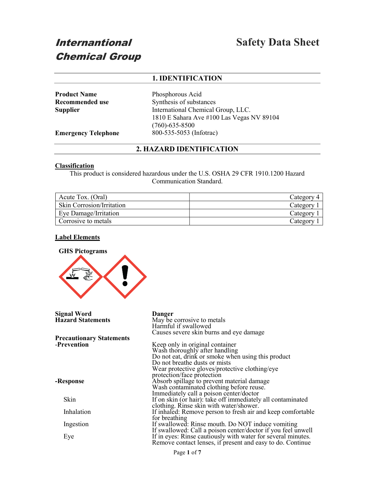# Internantional Chemical Group

## 1. IDENTIFICATION

Product Name Phosphorous Acid Recommended use Synthesis of substances Supplier International Chemical Group, LLC. 1810 E Sahara Ave #100 Las Vegas NV 89104 (760)-635-8500 Emergency Telephone 800-535-5053 (Infotrac)

## 2. HAZARD IDENTIFICATION

## Classification

This product is considered hazardous under the U.S. OSHA 29 CFR 1910.1200 Hazard Communication Standard.

| Acute Tox. (Oral)                | Category |
|----------------------------------|----------|
| <b>Skin Corrosion/Irritation</b> | Category |
| <b>Eye Damage/Irritation</b>     | Category |
| Corrosive to metals              | Category |

## Label Elements



| Signal Word                     | Danger                                                                                 |
|---------------------------------|----------------------------------------------------------------------------------------|
| <b>Hazard Statements</b>        | May be corrosive to metals                                                             |
|                                 | Harmful if swallowed                                                                   |
|                                 | Causes severe skin burns and eye damage                                                |
| <b>Precautionary Statements</b> |                                                                                        |
| -Prevention                     | Keep only in original container                                                        |
|                                 | Wash thoroughly after handling                                                         |
|                                 | Do not eat, drink or smoke when using this product                                     |
|                                 | Do not breathe dusts or mists                                                          |
|                                 | Wear protective gloves/protective clothing/eye                                         |
|                                 | protection/face protection                                                             |
| -Response                       |                                                                                        |
|                                 | Absorb spillage to prevent material damage<br>Wash contaminated clothing before reuse. |
|                                 | Immediately call a poison center/doctor                                                |
| Skin                            | If on skin (or hair): take off immediately all contaminated                            |
|                                 | clothing. Rinse skin with water/shower.                                                |
| Inhalation                      | If inhaled: Remove person to fresh air and keep comfortable                            |
|                                 | for breathing                                                                          |
| Ingestion                       | If swallowed: Rinse mouth. Do NOT induce vomiting                                      |
|                                 | If swallowed: Call a poison center/doctor if you feel unwell                           |
| Eye                             | If in eyes: Rinse cautiously with water for several minutes.                           |
|                                 | Remove contact lenses, if present and easy to do. Continue                             |
|                                 |                                                                                        |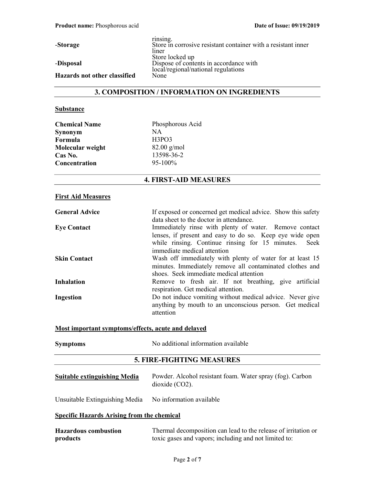Hazards not other classified

-Storage

## -Disposal

rinsing. Store in corrosive resistant container with a resistant inner liner Store locked up Dispose of contents in accordance with local/regional/national regulations

## 3. COMPOSITION / INFORMATION ON INGREDIENTS

## **Substance**

| Phosphorous Acid<br><b>Chemical Name</b> |               |
|------------------------------------------|---------------|
| Synonym                                  | NА            |
| Formula                                  | H3PO3         |
| Molecular weight                         | $82.00$ g/mol |
| Cas No.                                  | 13598-36-2    |
| Concentration                            | 95-100%       |

## 4. FIRST-AID MEASURES

## First Aid Measures

| <b>General Advice</b> | If exposed or concerned get medical advice. Show this safety |
|-----------------------|--------------------------------------------------------------|
|                       | data sheet to the doctor in attendance.                      |
| <b>Eye Contact</b>    | Immediately rinse with plenty of water. Remove contact       |
|                       | lenses, if present and easy to do so. Keep eye wide open     |
|                       | while rinsing. Continue rinsing for 15 minutes. Seek         |
|                       | immediate medical attention                                  |
| <b>Skin Contact</b>   | Wash off immediately with plenty of water for at least 15    |
|                       | minutes. Immediately remove all contaminated clothes and     |
|                       | shoes. Seek immediate medical attention                      |
| <b>Inhalation</b>     | Remove to fresh air. If not breathing, give artificial       |
|                       | respiration. Get medical attention.                          |
| Ingestion             | Do not induce vomiting without medical advice. Never give    |
|                       | anything by mouth to an unconscious person. Get medical      |
|                       | attention                                                    |
|                       |                                                              |

## Most important symptoms/effects, acute and delayed

| <b>Symptoms</b>                     | No additional information available                                            |  |  |  |
|-------------------------------------|--------------------------------------------------------------------------------|--|--|--|
| <b>5. FIRE-FIGHTING MEASURES</b>    |                                                                                |  |  |  |
| <b>Suitable extinguishing Media</b> | Powder. Alcohol resistant foam. Water spray (fog). Carbon<br>$dioxide (CO2)$ . |  |  |  |

## Unsuitable Extinguishing Media No information available

## Specific Hazards Arising from the chemical

| <b>Hazardous combustion</b> | Thermal decomposition can lead to the release of irritation or |
|-----------------------------|----------------------------------------------------------------|
| products                    | toxic gases and vapors; including and not limited to:          |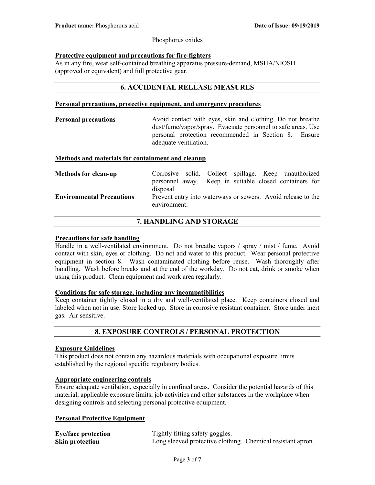## Phosphorus oxides

## Protective equipment and precautions for fire-fighters

As in any fire, wear self-contained breathing apparatus pressure-demand, MSHA/NIOSH (approved or equivalent) and full protective gear.

## 6. ACCIDENTAL RELEASE MEASURES

## Personal precautions, protective equipment, and emergency procedures

**Personal precautions** Avoid contact with eyes, skin and clothing. Do not breathe dust/fume/vapor/spray. Evacuate personnel to safe areas. Use personal protection recommended in Section 8. Ensure adequate ventilation.

## Methods and materials for containment and cleanup

| <b>Methods for clean-up</b>      |              |  |  | Corrosive solid. Collect spillage. Keep unauthorized         |  |
|----------------------------------|--------------|--|--|--------------------------------------------------------------|--|
|                                  |              |  |  | personnel away. Keep in suitable closed containers for       |  |
|                                  | disposal     |  |  |                                                              |  |
| <b>Environmental Precautions</b> | environment. |  |  | Prevent entry into waterways or sewers. Avoid release to the |  |

## 7. HANDLING AND STORAGE

## Precautions for safe handling

Handle in a well-ventilated environment. Do not breathe vapors / spray / mist / fume. Avoid contact with skin, eyes or clothing. Do not add water to this product. Wear personal protective equipment in section 8. Wash contaminated clothing before reuse. Wash thoroughly after handling. Wash before breaks and at the end of the workday. Do not eat, drink or smoke when using this product. Clean equipment and work area regularly.

## Conditions for safe storage, including any incompatibilities

Keep container tightly closed in a dry and well-ventilated place. Keep containers closed and labeled when not in use. Store locked up. Store in corrosive resistant container. Store under inert gas. Air sensitive.

## 8. EXPOSURE CONTROLS / PERSONAL PROTECTION

## Exposure Guidelines

This product does not contain any hazardous materials with occupational exposure limits established by the regional specific regulatory bodies.

## Appropriate engineering controls

Ensure adequate ventilation, especially in confined areas. Consider the potential hazards of this material, applicable exposure limits, job activities and other substances in the workplace when designing controls and selecting personal protective equipment.

## Personal Protective Equipment

| <b>Eye/face protection</b> | Tightly fitting safety goggles.                             |  |
|----------------------------|-------------------------------------------------------------|--|
| <b>Skin protection</b>     | Long sleeved protective clothing. Chemical resistant apron. |  |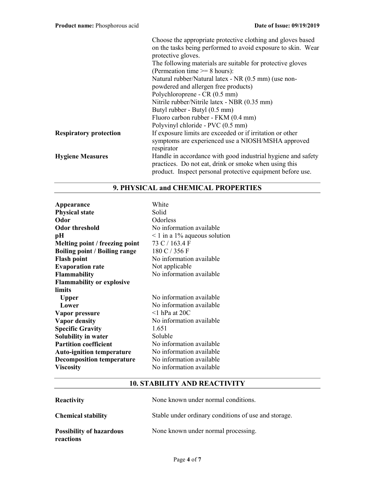|                               | Choose the appropriate protective clothing and gloves based<br>on the tasks being performed to avoid exposure to skin. Wear<br>protective gloves.                                   |  |  |
|-------------------------------|-------------------------------------------------------------------------------------------------------------------------------------------------------------------------------------|--|--|
|                               | The following materials are suitable for protective gloves                                                                                                                          |  |  |
|                               | (Permeation time $\geq$ 8 hours):                                                                                                                                                   |  |  |
|                               | Natural rubber/Natural latex - NR (0.5 mm) (use non-                                                                                                                                |  |  |
|                               | powdered and allergen free products)                                                                                                                                                |  |  |
|                               | Polychloroprene - CR (0.5 mm)                                                                                                                                                       |  |  |
|                               | Nitrile rubber/Nitrile latex - NBR (0.35 mm)                                                                                                                                        |  |  |
|                               | Butyl rubber - Butyl (0.5 mm)                                                                                                                                                       |  |  |
|                               | Fluoro carbon rubber - FKM (0.4 mm)                                                                                                                                                 |  |  |
|                               | Polyvinyl chloride - PVC (0.5 mm)                                                                                                                                                   |  |  |
| <b>Respiratory protection</b> | If exposure limits are exceeded or if irritation or other<br>symptoms are experienced use a NIOSH/MSHA approved<br>respirator                                                       |  |  |
| <b>Hygiene Measures</b>       | Handle in accordance with good industrial hygiene and safety<br>practices. Do not eat, drink or smoke when using this<br>product. Inspect personal protective equipment before use. |  |  |

| Appearance                           | White                             |
|--------------------------------------|-----------------------------------|
| <b>Physical state</b>                | Solid                             |
| Odor                                 | Odorless                          |
| Odor threshold                       | No information available          |
| pН                                   | $\leq 1$ in a 1% aqueous solution |
| Melting point / freezing point       | 73 C / 163.4 F                    |
| <b>Boiling point / Boiling range</b> | 180 C / 356 F                     |
| <b>Flash point</b>                   | No information available          |
| <b>Evaporation rate</b>              | Not applicable                    |
| <b>Flammability</b>                  | No information available          |
| <b>Flammability or explosive</b>     |                                   |
| limits                               |                                   |
| <b>Upper</b>                         | No information available          |
| Lower                                | No information available          |
| Vapor pressure                       | $\leq$ 1 hPa at 20C               |
| <b>Vapor density</b>                 | No information available          |
| <b>Specific Gravity</b>              | 1.651                             |
| Solubility in water                  | Soluble                           |
| <b>Partition coefficient</b>         | No information available          |
| <b>Auto-ignition temperature</b>     | No information available          |
| <b>Decomposition temperature</b>     | No information available          |
| <b>Viscosity</b>                     | No information available          |

## 9. PHYSICAL and CHEMICAL PROPERTIES

## 10. STABILITY AND REACTIVITY

| <b>Reactivity</b>                            | None known under normal conditions.                  |
|----------------------------------------------|------------------------------------------------------|
| <b>Chemical stability</b>                    | Stable under ordinary conditions of use and storage. |
| <b>Possibility of hazardous</b><br>reactions | None known under normal processing.                  |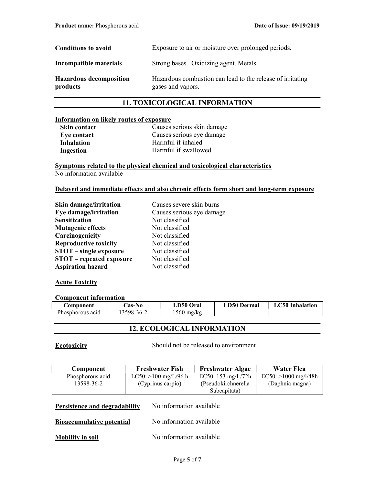| <b>Conditions to avoid</b>                 | Exposure to air or moisture over prolonged periods.                             |
|--------------------------------------------|---------------------------------------------------------------------------------|
| Incompatible materials                     | Strong bases. Oxidizing agent. Metals.                                          |
| <b>Hazardous decomposition</b><br>products | Hazardous combustion can lead to the release of irritating<br>gases and vapors. |

## 11. TOXICOLOGICAL INFORMATION

## Information on likely routes of exposure

| <b>Skin contact</b> |
|---------------------|
| <b>Eye contact</b>  |
| Inhalation          |
| <b>Ingestion</b>    |

Causes serious skin damage Causes serious eye damage Harmful if inhaled Harmful if swallowed

Symptoms related to the physical chemical and toxicological characteristics No information available

## Delayed and immediate effects and also chronic effects form short and long-term exposure

| Skin damage/irritation          | Causes severe skin burns  |
|---------------------------------|---------------------------|
| Eye damage/irritation           | Causes serious eye damage |
| <b>Sensitization</b>            | Not classified            |
| <b>Mutagenic effects</b>        | Not classified            |
| Carcinogenicity                 | Not classified            |
| <b>Reproductive toxicity</b>    | Not classified            |
| <b>STOT</b> – single exposure   | Not classified            |
| <b>STOT</b> – repeated exposure | Not classified            |
| <b>Aspiration hazard</b>        | Not classified            |

## **Acute Toxicity**

## Component information

| <b>Component</b> | <b>Cas-No</b> | <b>LD50 Oral</b> | <b>LD50 Dermal</b> | <b>LC50</b> Inhalation |
|------------------|---------------|------------------|--------------------|------------------------|
| Phosphorous acid | 3598-36-2     | 1560 mg/kg       | -                  | -                      |

## 12. ECOLOGICAL INFORMATION

Ecotoxicity Should not be released to environment

| Component                                                 | <b>Freshwater Fish</b>                      | <b>Freshwater Algae</b>                                   | <b>Water Flea</b>                         |  |
|-----------------------------------------------------------|---------------------------------------------|-----------------------------------------------------------|-------------------------------------------|--|
| Phosphorous acid<br>13598-36-2                            | LC50: $>100$ mg/L/96 h<br>(Cyprinus carpio) | EC50: 153 mg/L/72h<br>(Pseudokirchnerella<br>Subcapitata) | $EC50: >1000$ mg/l/48h<br>(Daphnia magna) |  |
| No information available<br>Persistence and degradability |                                             |                                                           |                                           |  |

| <b>Bioaccumulative potential</b> |  | No information available |
|----------------------------------|--|--------------------------|
|                                  |  |                          |

Mobility in soil No information available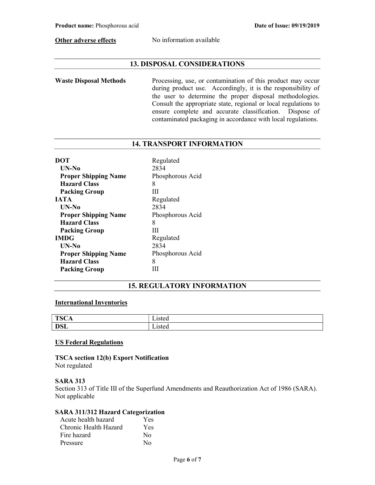Other adverse effects No information available

## 13. DISPOSAL CONSIDERATIONS

Waste Disposal Methods Processing, use, or contamination of this product may occur during product use. Accordingly, it is the responsibility of the user to determine the proper disposal methodologies. Consult the appropriate state, regional or local regulations to ensure complete and accurate classification. Dispose of contaminated packaging in accordance with local regulations.

## 14. TRANSPORT INFORMATION

| <b>DOT</b>                  | Regulated        |
|-----------------------------|------------------|
| UN-No                       | 2834             |
| <b>Proper Shipping Name</b> | Phosphorous Acid |
| <b>Hazard Class</b>         | 8                |
| <b>Packing Group</b>        | Ш                |
| <b>JATA</b>                 | Regulated        |
| UN-No                       | 2834             |
| <b>Proper Shipping Name</b> | Phosphorous Acid |
| <b>Hazard Class</b>         | 8                |
| <b>Packing Group</b>        | Ш                |
| <b>IMDG</b>                 | Regulated        |
| UN-No                       | 2834             |
| <b>Proper Shipping Name</b> | Phosphorous Acid |
| <b>Hazard Class</b>         | 8                |
| <b>Packing Group</b>        |                  |

## 15. REGULATORY INFORMATION

## International Inventories

| TSC.<br>UA.<br>ᆂᇦ | .<br>sicu |
|-------------------|-----------|
| <b>DSL</b>        | -15 w     |

## US Federal Regulations

TSCA section 12(b) Export Notification Not regulated

## SARA 313

Section 313 of Title III of the Superfund Amendments and Reauthorization Act of 1986 (SARA). Not applicable

## SARA 311/312 Hazard Categorization

| Acute health hazard   | Yes      |
|-----------------------|----------|
| Chronic Health Hazard | Yes      |
| Fire hazard           | No       |
| Pressure              | $\rm No$ |